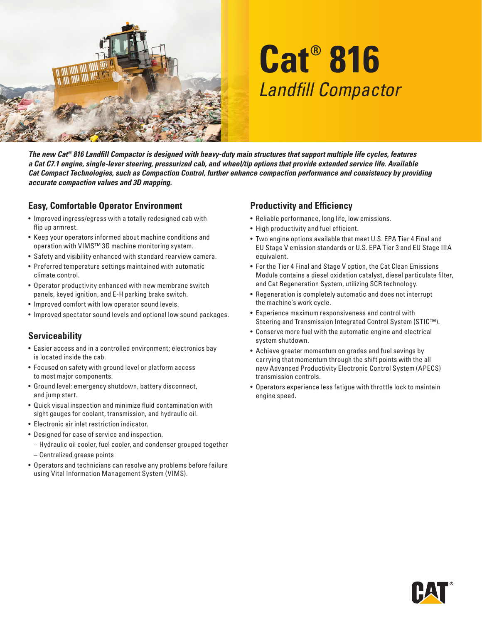

# **Cat® 816** *Landfill Compactor*

*The new Cat® 816 Landfill Compactor is designed with heavy-duty main structures that support multiple life cycles, features a Cat C7.1 engine, single-lever steering, pressurized cab, and wheel/tip options that provide extended service life. Available Cat Compact Technologies, such as Compaction Control, further enhance compaction performance and consistency by providing accurate compaction values and 3D mapping.*

### **Easy, Comfortable Operator Environment**

- Improved ingress/egress with a totally redesigned cab with flip up armrest.
- Keep your operators informed about machine conditions and operation with VIMS™ 3G machine monitoring system.
- Safety and visibility enhanced with standard rearview camera.
- Preferred temperature settings maintained with automatic climate control.
- Operator productivity enhanced with new membrane switch panels, keyed ignition, and E-H parking brake switch.
- Improved comfort with low operator sound levels.
- Improved spectator sound levels and optional low sound packages.

### **Serviceability**

- Easier access and in a controlled environment; electronics bay is located inside the cab.
- Focused on safety with ground level or platform access to most major components.
- Ground level: emergency shutdown, battery disconnect, and jump start.
- Quick visual inspection and minimize fluid contamination with sight gauges for coolant, transmission, and hydraulic oil.
- Electronic air inlet restriction indicator.
- Designed for ease of service and inspection.
- Hydraulic oil cooler, fuel cooler, and condenser grouped together – Centralized grease points
- Operators and technicians can resolve any problems before failure using Vital Information Management System (VIMS).

#### **Productivity and Efficiency**

- Reliable performance, long life, low emissions.
- High productivity and fuel efficient.
- Two engine options available that meet U.S. EPA Tier 4 Final and EU Stage V emission standards or U.S. EPA Tier 3 and EU Stage IIIA equivalent.
- For the Tier 4 Final and Stage V option, the Cat Clean Emissions Module contains a diesel oxidation catalyst, diesel particulate filter, and Cat Regeneration System, utilizing SCR technology.
- Regeneration is completely automatic and does not interrupt the machine's work cycle.
- Experience maximum responsiveness and control with Steering and Transmission Integrated Control System (STIC™).
- Conserve more fuel with the automatic engine and electrical system shutdown.
- Achieve greater momentum on grades and fuel savings by carrying that momentum through the shift points with the all new Advanced Productivity Electronic Control System (APECS) transmission controls.
- Operators experience less fatigue with throttle lock to maintain engine speed.

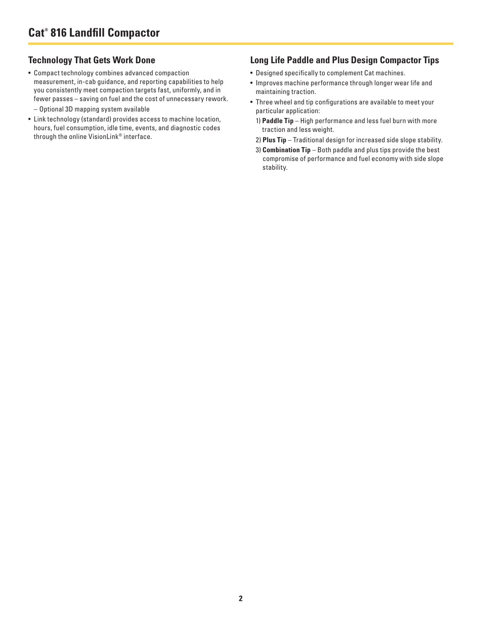## **Technology That Gets Work Done**

- Compact technology combines advanced compaction measurement, in-cab guidance, and reporting capabilities to help you consistently meet compaction targets fast, uniformly, and in fewer passes – saving on fuel and the cost of unnecessary rework.
	- Optional 3D mapping system available
- Link technology (standard) provides access to machine location, hours, fuel consumption, idle time, events, and diagnostic codes through the online VisionLink® interface.

#### **Long Life Paddle and Plus Design Compactor Tips**

- Designed specifically to complement Cat machines.
- Improves machine performance through longer wear life and maintaining traction.
- Three wheel and tip configurations are available to meet your particular application:
	- 1) **Paddle Tip** High performance and less fuel burn with more traction and less weight.
- 2) **Plus Tip** Traditional design for increased side slope stability.
- 3) **Combination Tip** Both paddle and plus tips provide the best compromise of performance and fuel economy with side slope stability.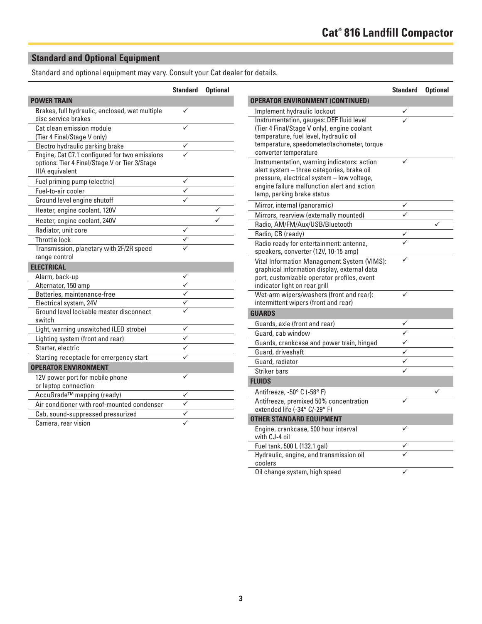# **Standard and Optional Equipment**

Standard and optional equipment may vary. Consult your Cat dealer for details.

|                                                                                                                          | <b>Standard</b> | <b>Optional</b> |
|--------------------------------------------------------------------------------------------------------------------------|-----------------|-----------------|
| <b>POWER TRAIN</b>                                                                                                       |                 |                 |
| Brakes, full hydraulic, enclosed, wet multiple<br>disc service brakes                                                    |                 |                 |
| Cat clean emission module<br>(Tier 4 Final/Stage V only)                                                                 |                 |                 |
| Electro hydraulic parking brake                                                                                          |                 |                 |
| Engine, Cat C7.1 configured for two emissions<br>options: Tier 4 Final/Stage V or Tier 3/Stage<br><b>IIIA</b> equivalent |                 |                 |
| Fuel priming pump (electric)                                                                                             |                 |                 |
| Fuel-to-air cooler                                                                                                       |                 |                 |
| Ground level engine shutoff                                                                                              |                 |                 |
| Heater, engine coolant, 120V                                                                                             |                 |                 |
| Heater, engine coolant, 240V                                                                                             |                 |                 |
| Radiator, unit core                                                                                                      |                 |                 |
| Throttle lock                                                                                                            |                 |                 |
| Transmission, planetary with 2F/2R speed<br>range control                                                                |                 |                 |
| <b>ELECTRICAL</b>                                                                                                        |                 |                 |
| Alarm, back-up                                                                                                           |                 |                 |
| Alternator, 150 amp                                                                                                      |                 |                 |
| Batteries, maintenance-free                                                                                              | ✓               |                 |
| Electrical system, 24V                                                                                                   |                 |                 |
| Ground level lockable master disconnect<br>switch                                                                        |                 |                 |
| Light, warning unswitched (LED strobe)                                                                                   |                 |                 |
| Lighting system (front and rear)                                                                                         |                 |                 |
| Starter, electric                                                                                                        |                 |                 |
| Starting receptacle for emergency start                                                                                  |                 |                 |
| <b>OPERATOR ENVIRONMENT</b>                                                                                              |                 |                 |
| 12V power port for mobile phone<br>or laptop connection                                                                  |                 |                 |
| AccuGrade™ mapping (ready)                                                                                               |                 |                 |
| Air conditioner with roof-mounted condenser                                                                              |                 |                 |
| Cab, sound-suppressed pressurized                                                                                        |                 |                 |
| Camera, rear vision                                                                                                      |                 |                 |

|                                                                                                                                                                                                                      | <b>Standard</b>         | <b>Optional</b> |
|----------------------------------------------------------------------------------------------------------------------------------------------------------------------------------------------------------------------|-------------------------|-----------------|
| <b>OPERATOR ENVIRONMENT (CONTINUED)</b>                                                                                                                                                                              |                         |                 |
| Implement hydraulic lockout                                                                                                                                                                                          |                         |                 |
| Instrumentation, gauges: DEF fluid level<br>(Tier 4 Final/Stage V only), engine coolant<br>temperature, fuel level, hydraulic oil<br>temperature, speedometer/tachometer, torque<br>converter temperature            |                         |                 |
| Instrumentation, warning indicators: action<br>alert system - three categories, brake oil<br>pressure, electrical system - low voltage,<br>engine failure malfunction alert and action<br>lamp, parking brake status |                         |                 |
| Mirror, internal (panoramic)                                                                                                                                                                                         |                         |                 |
| Mirrors, rearview (externally mounted)                                                                                                                                                                               |                         |                 |
| Radio, AM/FM/Aux/USB/Bluetooth                                                                                                                                                                                       |                         | ✓               |
| Radio, CB (ready)                                                                                                                                                                                                    |                         |                 |
| Radio ready for entertainment: antenna,<br>speakers, converter (12V, 10-15 amp)                                                                                                                                      |                         |                 |
| Vital Information Management System (VIMS):<br>graphical information display, external data<br>port, customizable operator profiles, event<br>indicator light on rear grill                                          |                         |                 |
| Wet-arm wipers/washers (front and rear):<br>intermittent wipers (front and rear)                                                                                                                                     |                         |                 |
| <b>GUARDS</b>                                                                                                                                                                                                        |                         |                 |
| Guards, axle (front and rear)                                                                                                                                                                                        | ✓                       |                 |
| Guard, cab window                                                                                                                                                                                                    |                         |                 |
| Guards, crankcase and power train, hinged                                                                                                                                                                            | ✓                       |                 |
| Guard, driveshaft                                                                                                                                                                                                    | $\overline{\checkmark}$ |                 |
| Guard, radiator                                                                                                                                                                                                      | ✓                       |                 |
| <b>Striker bars</b>                                                                                                                                                                                                  |                         |                 |
| <b>FLUIDS</b>                                                                                                                                                                                                        |                         |                 |
| Antifreeze, -50° C (-58° F)                                                                                                                                                                                          |                         |                 |
| Antifreeze, premixed 50% concentration<br>extended life (-34° C/-29° F)                                                                                                                                              |                         |                 |
| <b>OTHER STANDARD EQUIPMENT</b>                                                                                                                                                                                      |                         |                 |
| Engine, crankcase, 500 hour interval<br>with CJ-4 oil                                                                                                                                                                |                         |                 |
| Fuel tank, 500 L (132.1 gal)                                                                                                                                                                                         |                         |                 |
| Hydraulic, engine, and transmission oil<br>coolers                                                                                                                                                                   |                         |                 |
| Oil change system, high speed                                                                                                                                                                                        | ✓                       |                 |